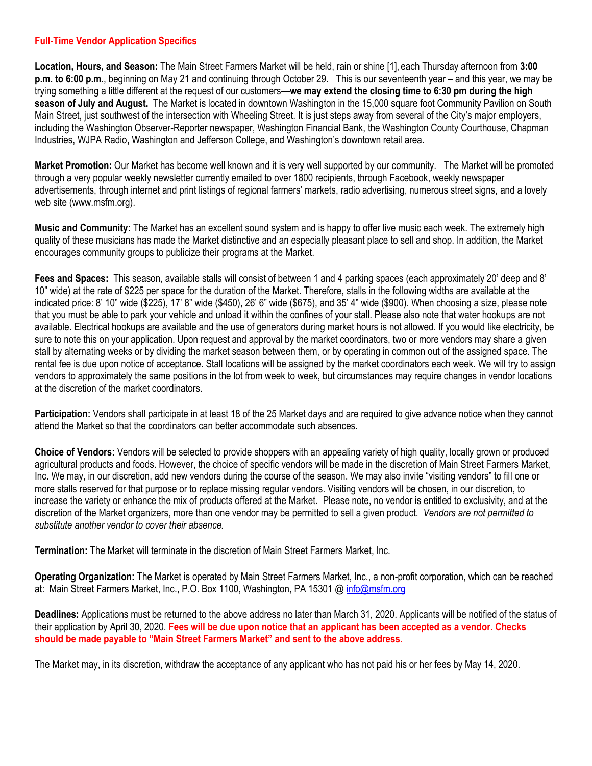## **Full-Time Vendor Application Specifics**

**Location, Hours, and Season:** The Main Street Farmers Market will be held, rain or shine [1], each Thursday afternoon from **3:00 p.m. to 6:00 p.m**., beginning on May 21 and continuing through October 29. This is our seventeenth year – and this year, we may be trying something a little different at the request of our customers—**we may extend the closing time to 6:30 pm during the high season of July and August.** The Market is located in downtown Washington in the 15,000 square foot Community Pavilion on South Main Street, just southwest of the intersection with Wheeling Street. It is just steps away from several of the City's major employers, including the Washington Observer-Reporter newspaper, Washington Financial Bank, the Washington County Courthouse, Chapman Industries, WJPA Radio, Washington and Jefferson College, and Washington's downtown retail area.

**Market Promotion:** Our Market has become well known and it is very well supported by our community. The Market will be promoted through a very popular weekly newsletter currently emailed to over 1800 recipients, through Facebook, weekly newspaper advertisements, through internet and print listings of regional farmers' markets, radio advertising, numerous street signs, and a lovely web site (www.msfm.org).

**Music and Community:** The Market has an excellent sound system and is happy to offer live music each week. The extremely high quality of these musicians has made the Market distinctive and an especially pleasant place to sell and shop. In addition, the Market encourages community groups to publicize their programs at the Market.

**Fees and Spaces:** This season, available stalls will consist of between 1 and 4 parking spaces (each approximately 20' deep and 8' 10" wide) at the rate of \$225 per space for the duration of the Market. Therefore, stalls in the following widths are available at the indicated price: 8' 10" wide (\$225), 17' 8" wide (\$450), 26' 6" wide (\$675), and 35' 4" wide (\$900). When choosing a size, please note that you must be able to park your vehicle and unload it within the confines of your stall. Please also note that water hookups are not available. Electrical hookups are available and the use of generators during market hours is not allowed. If you would like electricity, be sure to note this on your application. Upon request and approval by the market coordinators, two or more vendors may share a given stall by alternating weeks or by dividing the market season between them, or by operating in common out of the assigned space. The rental fee is due upon notice of acceptance. Stall locations will be assigned by the market coordinators each week. We will try to assign vendors to approximately the same positions in the lot from week to week, but circumstances may require changes in vendor locations at the discretion of the market coordinators.

**Participation:** Vendors shall participate in at least 18 of the 25 Market days and are required to give advance notice when they cannot attend the Market so that the coordinators can better accommodate such absences.

**Choice of Vendors:** Vendors will be selected to provide shoppers with an appealing variety of high quality, locally grown or produced agricultural products and foods. However, the choice of specific vendors will be made in the discretion of Main Street Farmers Market, Inc. We may, in our discretion, add new vendors during the course of the season. We may also invite "visiting vendors" to fill one or more stalls reserved for that purpose or to replace missing regular vendors. Visiting vendors will be chosen, in our discretion, to increase the variety or enhance the mix of products offered at the Market. Please note, no vendor is entitled to exclusivity, and at the discretion of the Market organizers, more than one vendor may be permitted to sell a given product. *Vendors are not permitted to substitute another vendor to cover their absence.*

**Termination:** The Market will terminate in the discretion of Main Street Farmers Market, Inc.

**Operating Organization:** The Market is operated by Main Street Farmers Market, Inc., a non-profit corporation, which can be reached at: Main Street Farmers Market, Inc., P.O. Box 1100, Washington, PA 15301 @ [info@msfm.org](mailto:info@msfm.org)

**Deadlines:** Applications must be returned to the above address no later than March 31, 2020. Applicants will be notified of the status of their application by April 30, 2020. **Fees will be due upon notice that an applicant has been accepted as a vendor. Checks should be made payable to "Main Street Farmers Market" and sent to the above address.**

The Market may, in its discretion, withdraw the acceptance of any applicant who has not paid his or her fees by May 14, 2020.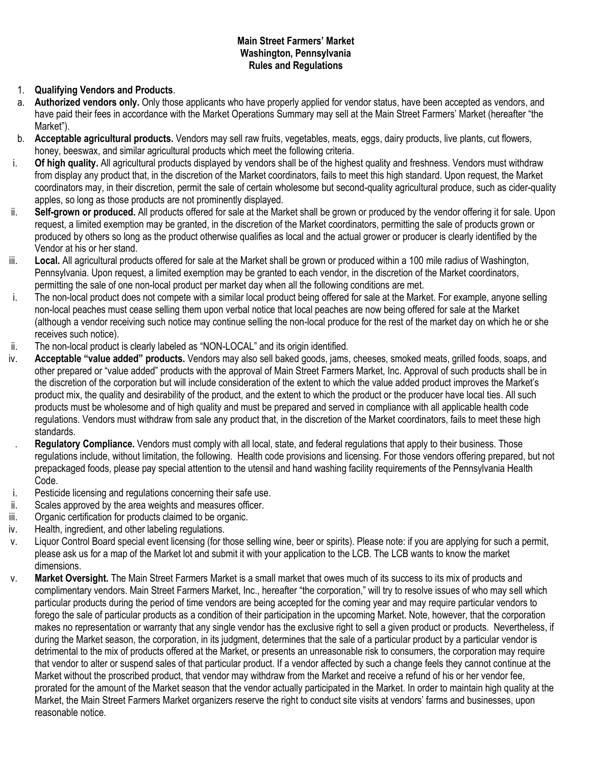## **Main Street Farmers' Market Washington, Pennsylvania Rules and Regulations**

# 1. **Qualifying Vendors and Products**.

- a. **Authorized vendors only.** Only those applicants who have properly applied for vendor status, have been accepted as vendors, and have paid their fees in accordance with the Market Operations Summary may sell at the Main Street Farmers' Market (hereafter "the Market").
- b. **Acceptable agricultural products.** Vendors may sell raw fruits, vegetables, meats, eggs, dairy products, live plants, cut flowers, honey, beeswax, and similar agricultural products which meet the following criteria.
- i. **Of high quality.** All agricultural products displayed by vendors shall be of the highest quality and freshness. Vendors must withdraw from display any product that, in the discretion of the Market coordinators, fails to meet this high standard. Upon request, the Market coordinators may, in their discretion, permit the sale of certain wholesome but second-quality agricultural produce, such as cider-quality apples, so long as those products are not prominently displayed.
- ii. **Self-grown or produced.** All products offered for sale at the Market shall be grown or produced by the vendor offering it for sale. Upon request, a limited exemption may be granted, in the discretion of the Market coordinators, permitting the sale of products grown or produced by others so long as the product otherwise qualifies as local and the actual grower or producer is clearly identified by the Vendor at his or her stand.
- iii. Local. All agricultural products offered for sale at the Market shall be grown or produced within a 100 mile radius of Washington, Pennsylvania. Upon request, a limited exemption may be granted to each vendor, in the discretion of the Market coordinators, permitting the sale of one non-local product per market day when all the following conditions are met.
- i. The non-local product does not compete with a similar local product being offered for sale at the Market. For example, anyone selling non-local peaches must cease selling them upon verbal notice that local peaches are now being offered for sale at the Market (although a vendor receiving such notice may continue selling the non-local produce for the rest of the market day on which he or she receives such notice).
- ii. The non-local product is clearly labeled as "NON-LOCAL" and its origin identified.
- iv. **Acceptable "value added" products.** Vendors may also sell baked goods, jams, cheeses, smoked meats, grilled foods, soaps, and other prepared or "value added" products with the approval of Main Street Farmers Market, Inc. Approval of such products shall be in the discretion of the corporation but will include consideration of the extent to which the value added product improves the Market's product mix, the quality and desirability of the product, and the extent to which the product or the producer have local ties. All such products must be wholesome and of high quality and must be prepared and served in compliance with all applicable health code regulations. Vendors must withdraw from sale any product that, in the discretion of the Market coordinators, fails to meet these high standards.
- . **Regulatory Compliance.** Vendors must comply with all local, state, and federal regulations that apply to their business. Those regulations include, without limitation, the following. Health code provisions and licensing. For those vendors offering prepared, but not prepackaged foods, please pay special attention to the utensil and hand washing facility requirements of the Pennsylvania Health Code.
- i. Pesticide licensing and regulations concerning their safe use.
- ii. Scales approved by the area weights and measures officer.
- iii. Organic certification for products claimed to be organic.
- iv. Health, ingredient, and other labeling regulations.
- v. Liquor Control Board special event licensing (for those selling wine, beer or spirits). Please note: if you are applying for such a permit, please ask us for a map of the Market lot and submit it with your application to the LCB. The LCB wants to know the market dimensions.
- v. **Market Oversight.** The Main Street Farmers Market is a small market that owes much of its success to its mix of products and complimentary vendors. Main Street Farmers Market, Inc., hereafter "the corporation," will try to resolve issues of who may sell which particular products during the period of time vendors are being accepted for the coming year and may require particular vendors to forego the sale of particular products as a condition of their participation in the upcoming Market. Note, however, that the corporation makes no representation or warranty that any single vendor has the exclusive right to sell a given product or products. Nevertheless, if during the Market season, the corporation, in its judgment, determines that the sale of a particular product by a particular vendor is detrimental to the mix of products offered at the Market, or presents an unreasonable risk to consumers, the corporation may require that vendor to alter or suspend sales of that particular product. If a vendor affected by such a change feels they cannot continue at the Market without the proscribed product, that vendor may withdraw from the Market and receive a refund of his or her vendor fee, prorated for the amount of the Market season that the vendor actually participated in the Market. In order to maintain high quality at the Market, the Main Street Farmers Market organizers reserve the right to conduct site visits at vendors' farms and businesses, upon reasonable notice.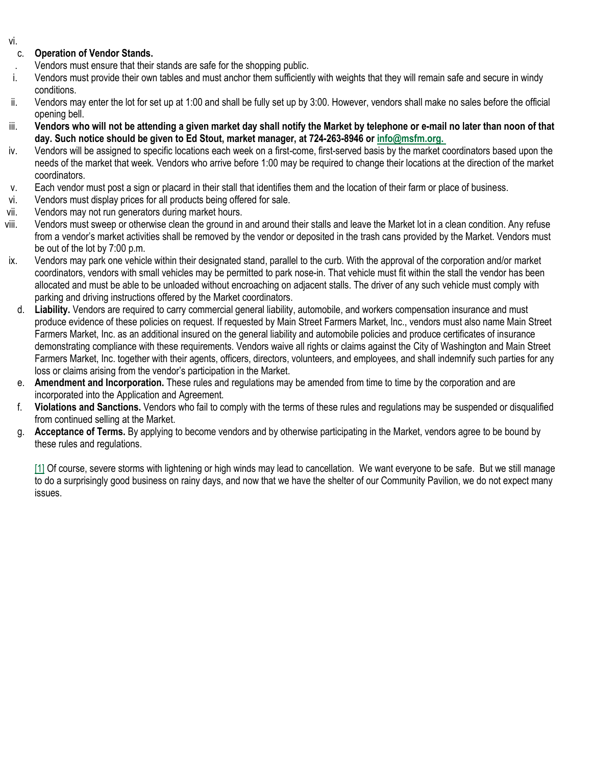#### vi.

# c. **Operation of Vendor Stands.**

- . Vendors must ensure that their stands are safe for the shopping public.
- i. Vendors must provide their own tables and must anchor them sufficiently with weights that they will remain safe and secure in windy conditions.
- ii. Vendors may enter the lot for set up at 1:00 and shall be fully set up by 3:00. However, vendors shall make no sales before the official opening bell.
- iii. Vendors who will not be attending a given market day shall notify the Market by telephone or e-mail no later than noon of that **day. Such notice should be given to Ed Stout, market manager, at 724-263-8946 or [info@msfm.org.](mailto:info@msfm.org.%C2%A0)**
- iv. Vendors will be assigned to specific locations each week on a first-come, first-served basis by the market coordinators based upon the needs of the market that week. Vendors who arrive before 1:00 may be required to change their locations at the direction of the market coordinators.
- v. Each vendor must post a sign or placard in their stall that identifies them and the location of their farm or place of business.
- vi. Vendors must display prices for all products being offered for sale.
- vii. Vendors may not run generators during market hours.
- viii. Vendors must sweep or otherwise clean the ground in and around their stalls and leave the Market lot in a clean condition. Any refuse from a vendor's market activities shall be removed by the vendor or deposited in the trash cans provided by the Market. Vendors must be out of the lot by 7:00 p.m.
- ix. Vendors may park one vehicle within their designated stand, parallel to the curb. With the approval of the corporation and/or market coordinators, vendors with small vehicles may be permitted to park nose-in. That vehicle must fit within the stall the vendor has been allocated and must be able to be unloaded without encroaching on adjacent stalls. The driver of any such vehicle must comply with parking and driving instructions offered by the Market coordinators.
- d. **Liability.** Vendors are required to carry commercial general liability, automobile, and workers compensation insurance and must produce evidence of these policies on request. If requested by Main Street Farmers Market, Inc., vendors must also name Main Street Farmers Market, Inc. as an additional insured on the general liability and automobile policies and produce certificates of insurance demonstrating compliance with these requirements. Vendors waive all rights or claims against the City of Washington and Main Street Farmers Market, Inc. together with their agents, officers, directors, volunteers, and employees, and shall indemnify such parties for any loss or claims arising from the vendor's participation in the Market.
- e. **Amendment and Incorporation.** These rules and regulations may be amended from time to time by the corporation and are incorporated into the Application and Agreement.
- f. **Violations and Sanctions.** Vendors who fail to comply with the terms of these rules and regulations may be suspended or disqualified from continued selling at the Market.
- g. **Acceptance of Terms.** By applying to become vendors and by otherwise participating in the Market, vendors agree to be bound by these rules and regulations.

[\[1\]](http://msfm.org/full-time-vendor-agreement/#_ftnref1) Of course, severe storms with lightening or high winds may lead to cancellation. We want everyone to be safe. But we still manage to do a surprisingly good business on rainy days, and now that we have the shelter of our Community Pavilion, we do not expect many issues.